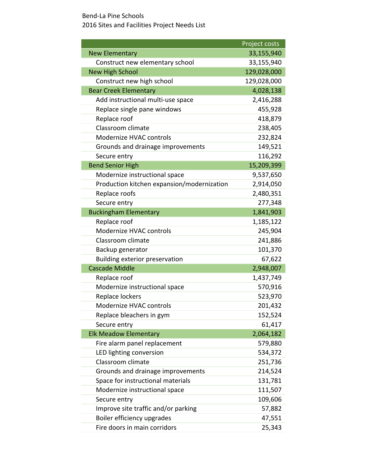|                                            | Project costs |
|--------------------------------------------|---------------|
| <b>New Elementary</b>                      | 33,155,940    |
| Construct new elementary school            | 33,155,940    |
| <b>New High School</b>                     | 129,028,000   |
| Construct new high school                  | 129,028,000   |
| <b>Bear Creek Elementary</b>               | 4,028,138     |
| Add instructional multi-use space          | 2,416,288     |
| Replace single pane windows                | 455,928       |
| Replace roof                               | 418,879       |
| Classroom climate                          | 238,405       |
| Modernize HVAC controls                    | 232,824       |
| Grounds and drainage improvements          | 149,521       |
| Secure entry                               | 116,292       |
| <b>Bend Senior High</b>                    | 15,209,399    |
| Modernize instructional space              | 9,537,650     |
| Production kitchen expansion/modernization | 2,914,050     |
| Replace roofs                              | 2,480,351     |
| Secure entry                               | 277,348       |
| <b>Buckingham Elementary</b>               | 1,841,903     |
| Replace roof                               | 1,185,122     |
| Modernize HVAC controls                    | 245,904       |
| Classroom climate                          | 241,886       |
| Backup generator                           | 101,370       |
| Building exterior preservation             | 67,622        |
| <b>Cascade Middle</b>                      | 2,948,007     |
| Replace roof                               | 1,437,749     |
| Modernize instructional space              | 570,916       |
| Replace lockers                            | 523,970       |
| Modernize HVAC controls                    | 201,432       |
| Replace bleachers in gym                   | 152,524       |
| Secure entry                               | 61,417        |
| <b>Elk Meadow Elementary</b>               | 2,064,182     |
| Fire alarm panel replacement               | 579,880       |
| LED lighting conversion                    | 534,372       |
| Classroom climate                          | 251,736       |
| Grounds and drainage improvements          | 214,524       |
| Space for instructional materials          | 131,781       |
| Modernize instructional space              | 111,507       |
| Secure entry                               | 109,606       |
| Improve site traffic and/or parking        | 57,882        |
| Boiler efficiency upgrades                 | 47,551        |
| Fire doors in main corridors               | 25,343        |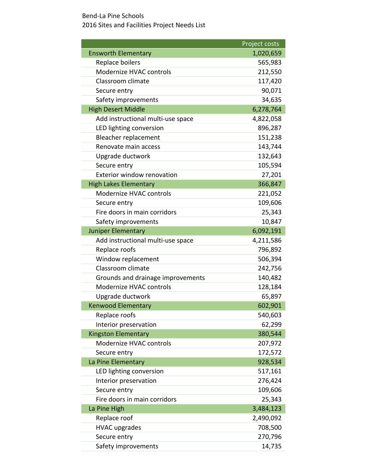|                                   | Project costs |
|-----------------------------------|---------------|
| <b>Ensworth Elementary</b>        | 1,020,659     |
| Replace boilers                   | 565,983       |
| Modernize HVAC controls           | 212,550       |
| Classroom climate                 | 117,420       |
| Secure entry                      | 90,071        |
| Safety improvements               | 34,635        |
| <b>High Desert Middle</b>         | 6,278,764     |
| Add instructional multi-use space | 4,822,058     |
| LED lighting conversion           | 896,287       |
| Bleacher replacement              | 151,238       |
| Renovate main access              | 143,744       |
| Upgrade ductwork                  | 132,643       |
| Secure entry                      | 105,594       |
| Exterior window renovation        | 27,201        |
| <b>High Lakes Elementary</b>      | 366,847       |
| Modernize HVAC controls           | 221,052       |
| Secure entry                      | 109,606       |
| Fire doors in main corridors      | 25,343        |
| Safety improvements               | 10,847        |
| <b>Juniper Elementary</b>         | 6,092,191     |
| Add instructional multi-use space | 4,211,586     |
| Replace roofs                     | 796,892       |
| Window replacement                | 506,394       |
| Classroom climate                 | 242,756       |
| Grounds and drainage improvements | 140,482       |
| Modernize HVAC controls           | 128,184       |
| Upgrade ductwork                  | 65,897        |
| <b>Kenwood Elementary</b>         | 602,901       |
| Replace roofs                     | 540,603       |
| Interior preservation             | 62,299        |
| <b>Kingston Elementary</b>        | 380,544       |
| Modernize HVAC controls           | 207,972       |
| Secure entry                      | 172,572       |
| La Pine Elementary                | 928,534       |
| LED lighting conversion           | 517,161       |
| Interior preservation             | 276,424       |
| Secure entry                      | 109,606       |
| Fire doors in main corridors      | 25,343        |
| La Pine High                      | 3,484,123     |
| Replace roof                      | 2,490,092     |
| <b>HVAC upgrades</b>              | 708,500       |
| Secure entry                      | 270,796       |
| Safety improvements               | 14,735        |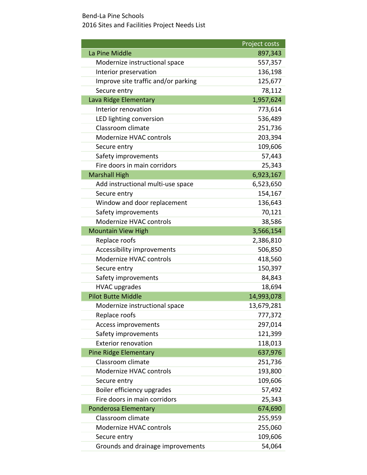|                                     | Project costs |
|-------------------------------------|---------------|
| La Pine Middle                      | 897,343       |
| Modernize instructional space       | 557,357       |
| Interior preservation               | 136,198       |
| Improve site traffic and/or parking | 125,677       |
| Secure entry                        | 78,112        |
| Lava Ridge Elementary               | 1,957,624     |
| Interior renovation                 | 773,614       |
| LED lighting conversion             | 536,489       |
| Classroom climate                   | 251,736       |
| Modernize HVAC controls             | 203,394       |
| Secure entry                        | 109,606       |
| Safety improvements                 | 57,443        |
| Fire doors in main corridors        | 25,343        |
| <b>Marshall High</b>                | 6,923,167     |
| Add instructional multi-use space   | 6,523,650     |
| Secure entry                        | 154,167       |
| Window and door replacement         | 136,643       |
| Safety improvements                 | 70,121        |
| Modernize HVAC controls             | 38,586        |
| <b>Mountain View High</b>           | 3,566,154     |
| Replace roofs                       | 2,386,810     |
| Accessibility improvements          | 506,850       |
| Modernize HVAC controls             | 418,560       |
| Secure entry                        | 150,397       |
| Safety improvements                 | 84,843        |
| <b>HVAC upgrades</b>                | 18,694        |
| <b>Pilot Butte Middle</b>           | 14,993,078    |
| Modernize instructional space       | 13,679,281    |
| Replace roofs                       | 777,372       |
| Access improvements                 | 297,014       |
| Safety improvements                 | 121,399       |
| <b>Exterior renovation</b>          | 118,013       |
| <b>Pine Ridge Elementary</b>        | 637,976       |
| Classroom climate                   | 251,736       |
| Modernize HVAC controls             | 193,800       |
| Secure entry                        | 109,606       |
| Boiler efficiency upgrades          | 57,492        |
| Fire doors in main corridors        | 25,343        |
| Ponderosa Elementary                | 674,690       |
| Classroom climate                   | 255,959       |
| Modernize HVAC controls             | 255,060       |
| Secure entry                        | 109,606       |
| Grounds and drainage improvements   | 54,064        |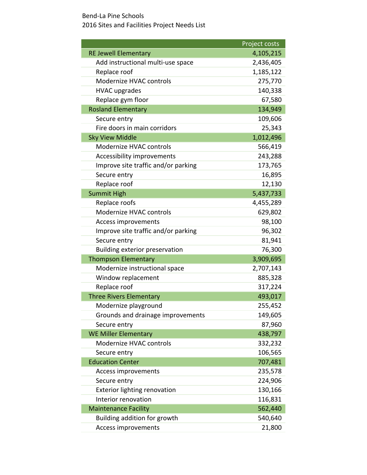|                                     | Project costs |
|-------------------------------------|---------------|
| <b>RE Jewell Elementary</b>         | 4,105,215     |
| Add instructional multi-use space   | 2,436,405     |
| Replace roof                        | 1,185,122     |
| Modernize HVAC controls             | 275,770       |
| <b>HVAC upgrades</b>                | 140,338       |
| Replace gym floor                   | 67,580        |
| <b>Rosland Elementary</b>           | 134,949       |
| Secure entry                        | 109,606       |
| Fire doors in main corridors        | 25,343        |
| <b>Sky View Middle</b>              | 1,012,496     |
| Modernize HVAC controls             | 566,419       |
| Accessibility improvements          | 243,288       |
| Improve site traffic and/or parking | 173,765       |
| Secure entry                        | 16,895        |
| Replace roof                        | 12,130        |
| <b>Summit High</b>                  | 5,437,733     |
| Replace roofs                       | 4,455,289     |
| Modernize HVAC controls             | 629,802       |
| Access improvements                 | 98,100        |
| Improve site traffic and/or parking | 96,302        |
| Secure entry                        | 81,941        |
| Building exterior preservation      | 76,300        |
| <b>Thompson Elementary</b>          | 3,909,695     |
| Modernize instructional space       | 2,707,143     |
| Window replacement                  | 885,328       |
| Replace roof                        | 317,224       |
| <b>Three Rivers Elementary</b>      | 493,017       |
| Modernize playground                | 255,452       |
| Grounds and drainage improvements   | 149,605       |
| Secure entry                        | 87,960        |
| <b>WE Miller Elementary</b>         | 438,797       |
| Modernize HVAC controls             | 332,232       |
| Secure entry                        | 106,565       |
| <b>Education Center</b>             | 707,481       |
| Access improvements                 | 235,578       |
| Secure entry                        | 224,906       |
| <b>Exterior lighting renovation</b> | 130,166       |
| Interior renovation                 | 116,831       |
| <b>Maintenance Facility</b>         | 562,440       |
| Building addition for growth        | 540,640       |
| Access improvements                 | 21,800        |